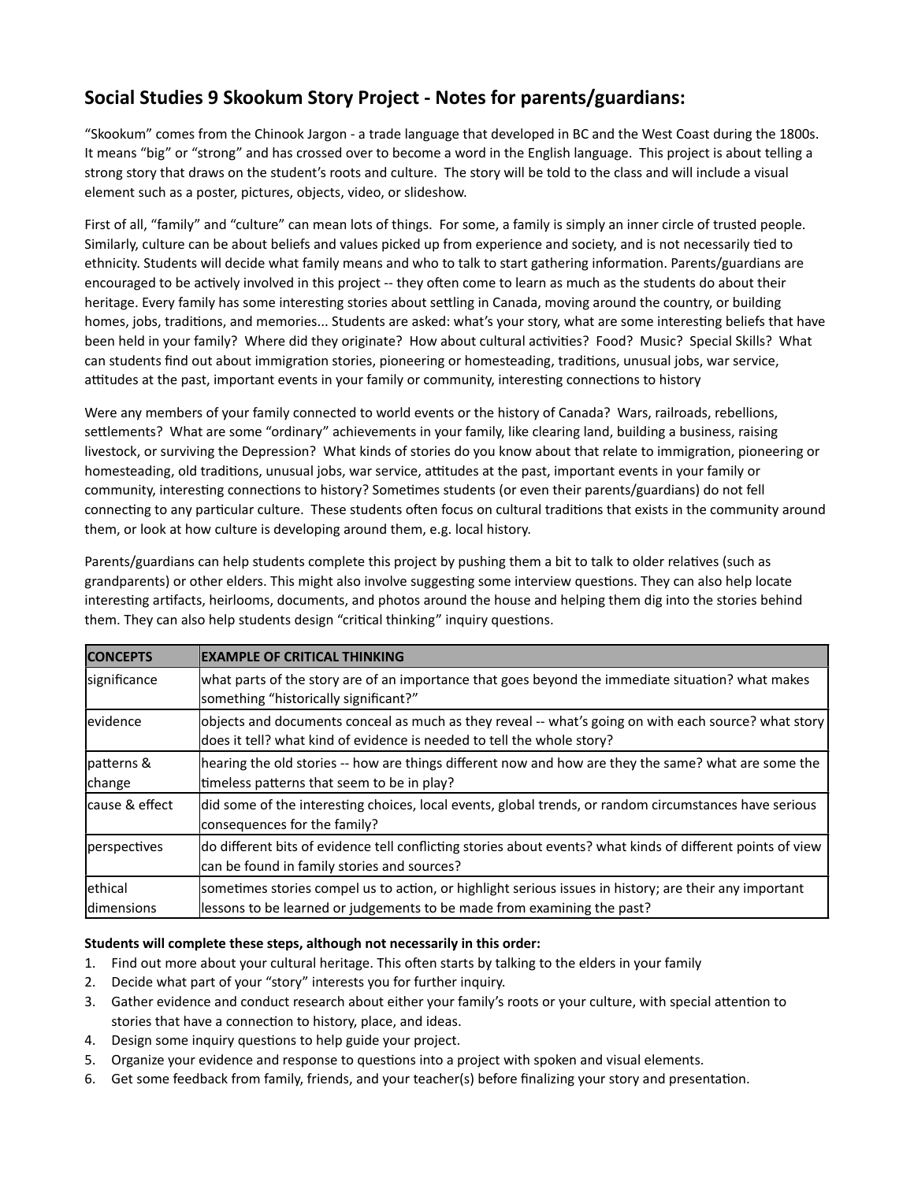## Social Studies 9 Skookum Story Project - Notes for parents/guardians:

"Skookum" comes from the Chinook Jargon - a trade language that developed in BC and the West Coast during the 1800s. It means "big" or "strong" and has crossed over to become a word in the English language. This project is about telling a strong story that draws on the student's roots and culture. The story will be told to the class and will include a visual element such as a poster, pictures, objects, video, or slideshow.

First of all, "family" and "culture" can mean lots of things. For some, a family is simply an inner circle of trusted people. Similarly, culture can be about beliefs and values picked up from experience and society, and is not necessarily tied to ethnicity. Students will decide what family means and who to talk to start gathering information. Parents/guardians are encouraged to be actively involved in this project -- they often come to learn as much as the students do about their heritage. Every family has some interesting stories about settling in Canada, moving around the country, or building homes, jobs, traditions, and memories... Students are asked: what's your story, what are some interesting beliefs that have been held in your family? Where did they originate? How about cultural activities? Food? Music? Special Skills? What can students find out about immigration stories, pioneering or homesteading, traditions, unusual jobs, war service, attitudes at the past, important events in your family or community, interesting connections to history

Were any members of your family connected to world events or the history of Canada? Wars, railroads, rebellions, settlements? What are some "ordinary" achievements in your family, like clearing land, building a business, raising livestock, or surviving the Depression? What kinds of stories do you know about that relate to immigration, pioneering or homesteading, old traditions, unusual jobs, war service, attitudes at the past, important events in your family or community, interesting connections to history? Sometimes students (or even their parents/guardians) do not fell connecting to any particular culture. These students often focus on cultural traditions that exists in the community around them, or look at how culture is developing around them, e.g. local history.

Parents/guardians can help students complete this project by pushing them a bit to talk to older relatives (such as grandparents) or other elders. This might also involve suggesting some interview questions. They can also help locate interesting artifacts, heirlooms, documents, and photos around the house and helping them dig into the stories behind them. They can also help students design "critical thinking" inquiry questions.

| <b>CONCEPTS</b>                | <b>EXAMPLE OF CRITICAL THINKING</b>                                                                                                                                               |
|--------------------------------|-----------------------------------------------------------------------------------------------------------------------------------------------------------------------------------|
| significance                   | what parts of the story are of an importance that goes beyond the immediate situation? what makes<br>something "historically significant?"                                        |
| evidence                       | objects and documents conceal as much as they reveal -- what's going on with each source? what story<br>does it tell? what kind of evidence is needed to tell the whole story?    |
| patterns &<br>change           | hearing the old stories -- how are things different now and how are they the same? what are some the<br>timeless patterns that seem to be in play?                                |
| Icause & effect                | did some of the interesting choices, local events, global trends, or random circumstances have serious<br>consequences for the family?                                            |
| perspectives                   | do different bits of evidence tell conflicting stories about events? what kinds of different points of view<br>can be found in family stories and sources?                        |
| lethical<br><b>Idimensions</b> | sometimes stories compel us to action, or highlight serious issues in history; are their any important<br>lessons to be learned or judgements to be made from examining the past? |

## Students will complete these steps, although not necessarily in this order:

- 1. Find out more about your cultural heritage. This often starts by talking to the elders in your family
- 2. Decide what part of your "story" interests you for further inquiry.
- 3. Gather evidence and conduct research about either your family's roots or your culture, with special attention to stories that have a connection to history, place, and ideas.
- 4. Design some inquiry questions to help guide your project.
- 5. Organize your evidence and response to questions into a project with spoken and visual elements.
- 6. Get some feedback from family, friends, and your teacher(s) before finalizing your story and presentation.